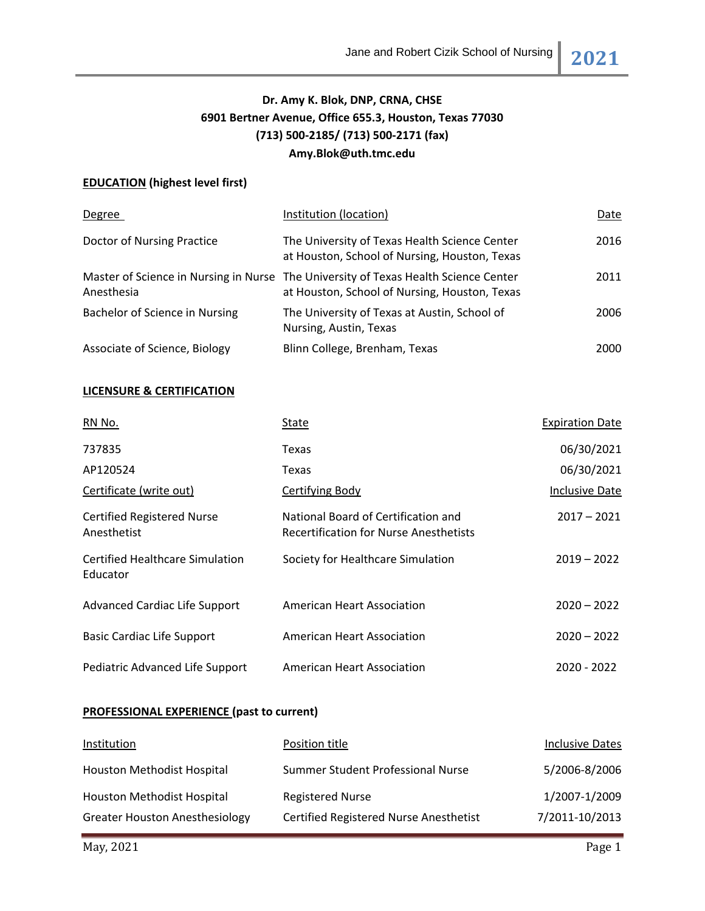# **Dr. Amy K. Blok, DNP, CRNA, CHSE 6901 Bertner Avenue, Office 655.3, Houston, Texas 77030 (713) 500-2185/ (713) 500-2171 (fax) Amy.Blok@uth.tmc.edu**

## **EDUCATION (highest level first)**

| Degree                         | Institution (location)                                                                                                               | Date |
|--------------------------------|--------------------------------------------------------------------------------------------------------------------------------------|------|
| Doctor of Nursing Practice     | The University of Texas Health Science Center<br>at Houston, School of Nursing, Houston, Texas                                       | 2016 |
| Anesthesia                     | Master of Science in Nursing in Nurse The University of Texas Health Science Center<br>at Houston, School of Nursing, Houston, Texas | 2011 |
| Bachelor of Science in Nursing | The University of Texas at Austin, School of<br>Nursing, Austin, Texas                                                               | 2006 |
| Associate of Science, Biology  | Blinn College, Brenham, Texas                                                                                                        | 2000 |

## **LICENSURE & CERTIFICATION**

| RN No.                                             | State                                                                                | <b>Expiration Date</b> |
|----------------------------------------------------|--------------------------------------------------------------------------------------|------------------------|
| 737835                                             | Texas                                                                                | 06/30/2021             |
| AP120524                                           | Texas                                                                                | 06/30/2021             |
| Certificate (write out)                            | Certifying Body                                                                      | <b>Inclusive Date</b>  |
| <b>Certified Registered Nurse</b><br>Anesthetist   | National Board of Certification and<br><b>Recertification for Nurse Anesthetists</b> | $2017 - 2021$          |
| <b>Certified Healthcare Simulation</b><br>Educator | Society for Healthcare Simulation                                                    | $2019 - 2022$          |
| <b>Advanced Cardiac Life Support</b>               | American Heart Association                                                           | $2020 - 2022$          |
| <b>Basic Cardiac Life Support</b>                  | American Heart Association                                                           | $2020 - 2022$          |
| Pediatric Advanced Life Support                    | <b>American Heart Association</b>                                                    | 2020 - 2022            |

## **PROFESSIONAL EXPERIENCE (past to current)**

| Institution                           | Position title                                | <b>Inclusive Dates</b> |
|---------------------------------------|-----------------------------------------------|------------------------|
| Houston Methodist Hospital            | Summer Student Professional Nurse             | 5/2006-8/2006          |
| Houston Methodist Hospital            | <b>Registered Nurse</b>                       | 1/2007-1/2009          |
| <b>Greater Houston Anesthesiology</b> | <b>Certified Registered Nurse Anesthetist</b> | 7/2011-10/2013         |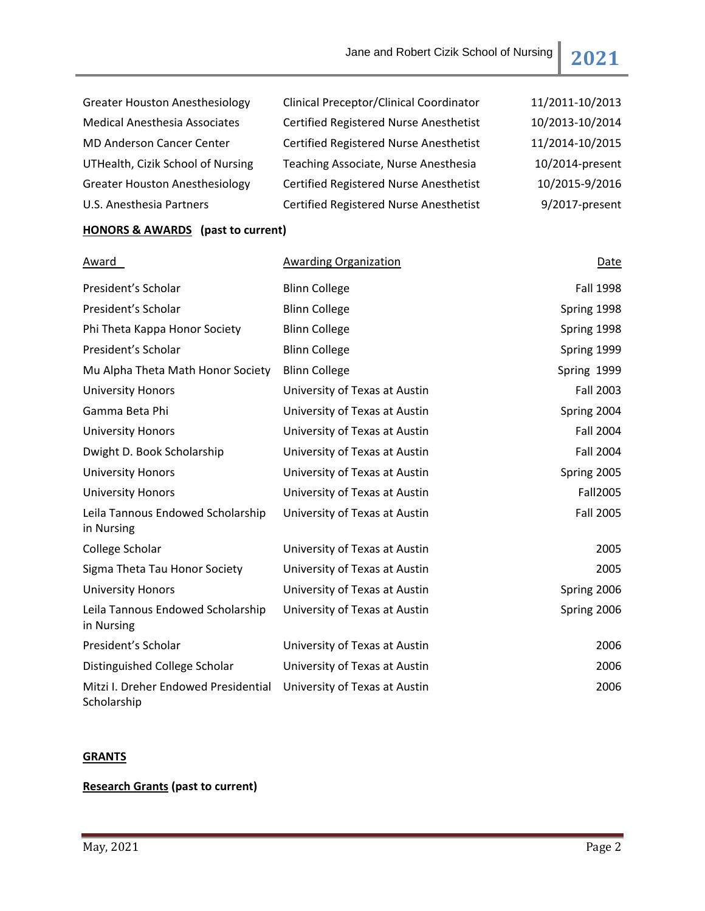| <b>Greater Houston Anesthesiology</b> | Clinical Preceptor/Clinical Coordinator       | 11/2011-10/2013 |
|---------------------------------------|-----------------------------------------------|-----------------|
| <b>Medical Anesthesia Associates</b>  | <b>Certified Registered Nurse Anesthetist</b> | 10/2013-10/2014 |
| <b>MD Anderson Cancer Center</b>      | <b>Certified Registered Nurse Anesthetist</b> | 11/2014-10/2015 |
| UTHealth, Cizik School of Nursing     | Teaching Associate, Nurse Anesthesia          | 10/2014-present |
| <b>Greater Houston Anesthesiology</b> | <b>Certified Registered Nurse Anesthetist</b> | 10/2015-9/2016  |
| U.S. Anesthesia Partners              | <b>Certified Registered Nurse Anesthetist</b> | 9/2017-present  |
|                                       |                                               |                 |

# **HONORS & AWARDS (past to current)**

| Award                                               | <b>Awarding Organization</b>  | Date             |
|-----------------------------------------------------|-------------------------------|------------------|
| President's Scholar                                 | <b>Blinn College</b>          | <b>Fall 1998</b> |
| President's Scholar                                 | <b>Blinn College</b>          | Spring 1998      |
| Phi Theta Kappa Honor Society                       | <b>Blinn College</b>          | Spring 1998      |
| President's Scholar                                 | <b>Blinn College</b>          | Spring 1999      |
| Mu Alpha Theta Math Honor Society                   | <b>Blinn College</b>          | Spring 1999      |
| <b>University Honors</b>                            | University of Texas at Austin | <b>Fall 2003</b> |
| Gamma Beta Phi                                      | University of Texas at Austin | Spring 2004      |
| <b>University Honors</b>                            | University of Texas at Austin | <b>Fall 2004</b> |
| Dwight D. Book Scholarship                          | University of Texas at Austin | <b>Fall 2004</b> |
| <b>University Honors</b>                            | University of Texas at Austin | Spring 2005      |
| <b>University Honors</b>                            | University of Texas at Austin | Fall2005         |
| Leila Tannous Endowed Scholarship<br>in Nursing     | University of Texas at Austin | <b>Fall 2005</b> |
| College Scholar                                     | University of Texas at Austin | 2005             |
| Sigma Theta Tau Honor Society                       | University of Texas at Austin | 2005             |
| <b>University Honors</b>                            | University of Texas at Austin | Spring 2006      |
| Leila Tannous Endowed Scholarship<br>in Nursing     | University of Texas at Austin | Spring 2006      |
| President's Scholar                                 | University of Texas at Austin | 2006             |
| Distinguished College Scholar                       | University of Texas at Austin | 2006             |
| Mitzi I. Dreher Endowed Presidential<br>Scholarship | University of Texas at Austin | 2006             |

# **GRANTS**

# **Research Grants (past to current)**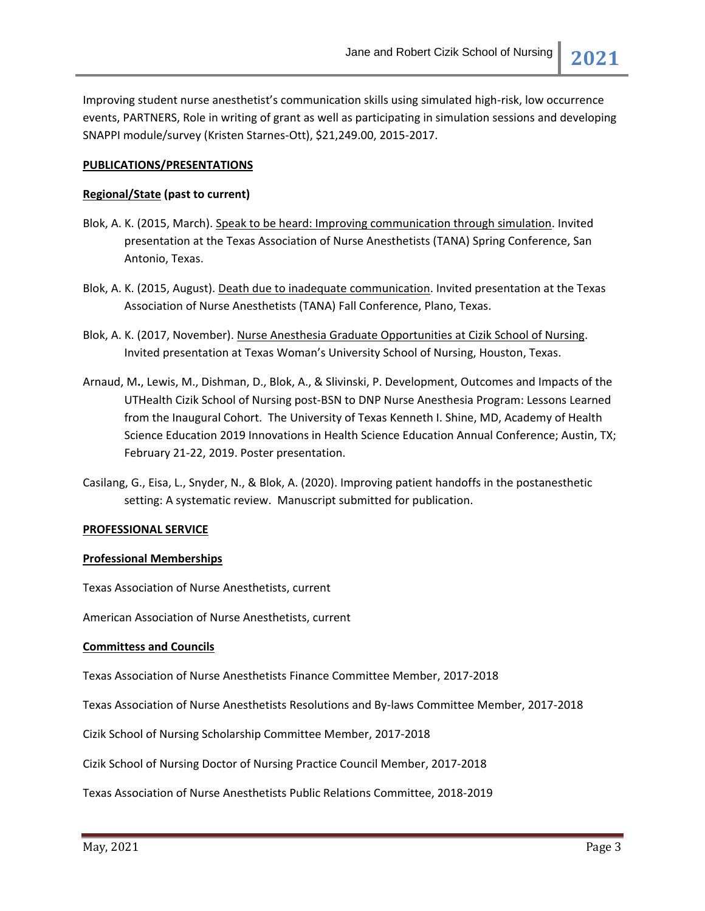Improving student nurse anesthetist's communication skills using simulated high-risk, low occurrence events, PARTNERS, Role in writing of grant as well as participating in simulation sessions and developing SNAPPI module/survey (Kristen Starnes-Ott), \$21,249.00, 2015-2017.

### **PUBLICATIONS/PRESENTATIONS**

## **Regional/State (past to current)**

- Blok, A. K. (2015, March). Speak to be heard: Improving communication through simulation. Invited presentation at the Texas Association of Nurse Anesthetists (TANA) Spring Conference, San Antonio, Texas.
- Blok, A. K. (2015, August). Death due to inadequate communication. Invited presentation at the Texas Association of Nurse Anesthetists (TANA) Fall Conference, Plano, Texas.
- Blok, A. K. (2017, November). Nurse Anesthesia Graduate Opportunities at Cizik School of Nursing. Invited presentation at Texas Woman's University School of Nursing, Houston, Texas.
- Arnaud, M**.**, Lewis, M., Dishman, D., Blok, A., & Slivinski, P. Development, Outcomes and Impacts of the UTHealth Cizik School of Nursing post-BSN to DNP Nurse Anesthesia Program: Lessons Learned from the Inaugural Cohort. The University of Texas Kenneth I. Shine, MD, Academy of Health Science Education 2019 Innovations in Health Science Education Annual Conference; Austin, TX; February 21-22, 2019. Poster presentation.
- Casilang, G., Eisa, L., Snyder, N., & Blok, A. (2020). Improving patient handoffs in the postanesthetic setting: A systematic review. Manuscript submitted for publication.

### **PROFESSIONAL SERVICE**

### **Professional Memberships**

Texas Association of Nurse Anesthetists, current

American Association of Nurse Anesthetists, current

### **Committess and Councils**

Texas Association of Nurse Anesthetists Finance Committee Member, 2017-2018

Texas Association of Nurse Anesthetists Resolutions and By-laws Committee Member, 2017-2018

Cizik School of Nursing Scholarship Committee Member, 2017-2018

Cizik School of Nursing Doctor of Nursing Practice Council Member, 2017-2018

Texas Association of Nurse Anesthetists Public Relations Committee, 2018-2019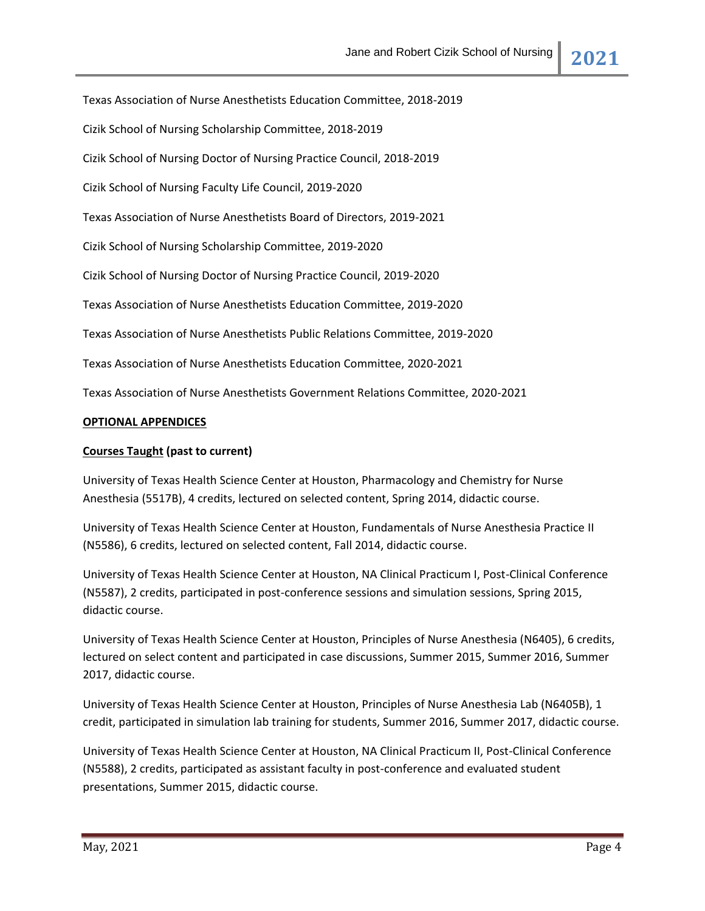Texas Association of Nurse Anesthetists Education Committee, 2018-2019 Cizik School of Nursing Scholarship Committee, 2018-2019 Cizik School of Nursing Doctor of Nursing Practice Council, 2018-2019 Cizik School of Nursing Faculty Life Council, 2019-2020 Texas Association of Nurse Anesthetists Board of Directors, 2019-2021 Cizik School of Nursing Scholarship Committee, 2019-2020 Cizik School of Nursing Doctor of Nursing Practice Council, 2019-2020 Texas Association of Nurse Anesthetists Education Committee, 2019-2020 Texas Association of Nurse Anesthetists Public Relations Committee, 2019-2020 Texas Association of Nurse Anesthetists Education Committee, 2020-2021 Texas Association of Nurse Anesthetists Government Relations Committee, 2020-2021 **OPTIONAL APPENDICES Courses Taught (past to current)**

University of Texas Health Science Center at Houston, Pharmacology and Chemistry for Nurse Anesthesia (5517B), 4 credits, lectured on selected content, Spring 2014, didactic course.

University of Texas Health Science Center at Houston, Fundamentals of Nurse Anesthesia Practice II (N5586), 6 credits, lectured on selected content, Fall 2014, didactic course.

University of Texas Health Science Center at Houston, NA Clinical Practicum I, Post-Clinical Conference (N5587), 2 credits, participated in post-conference sessions and simulation sessions, Spring 2015, didactic course.

University of Texas Health Science Center at Houston, Principles of Nurse Anesthesia (N6405), 6 credits, lectured on select content and participated in case discussions, Summer 2015, Summer 2016, Summer 2017, didactic course.

University of Texas Health Science Center at Houston, Principles of Nurse Anesthesia Lab (N6405B), 1 credit, participated in simulation lab training for students, Summer 2016, Summer 2017, didactic course.

University of Texas Health Science Center at Houston, NA Clinical Practicum II, Post-Clinical Conference (N5588), 2 credits, participated as assistant faculty in post-conference and evaluated student presentations, Summer 2015, didactic course.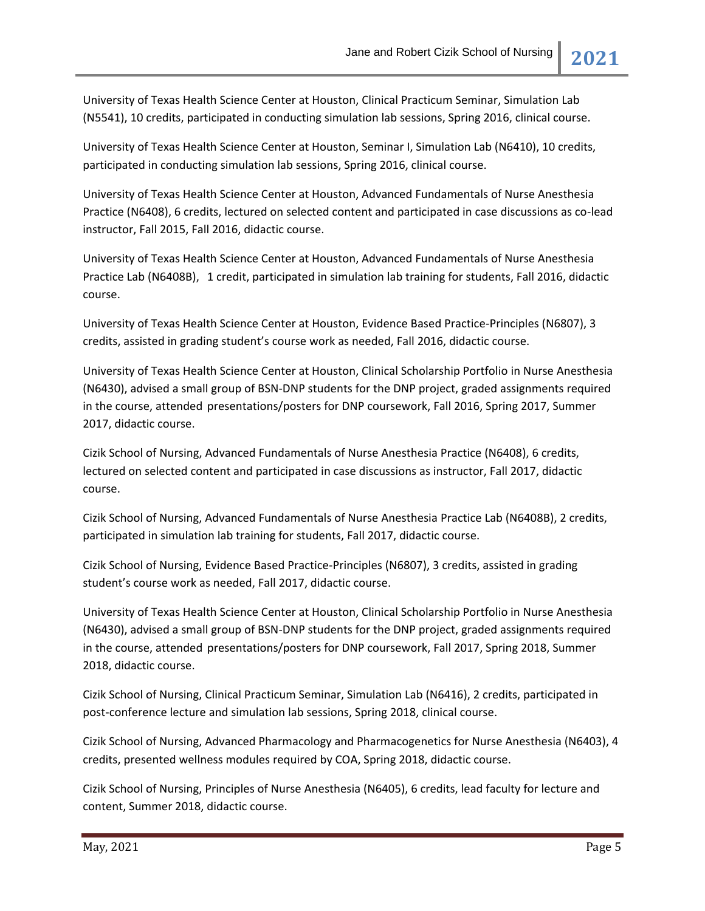University of Texas Health Science Center at Houston, Clinical Practicum Seminar, Simulation Lab (N5541), 10 credits, participated in conducting simulation lab sessions, Spring 2016, clinical course.

University of Texas Health Science Center at Houston, Seminar I, Simulation Lab (N6410), 10 credits, participated in conducting simulation lab sessions, Spring 2016, clinical course.

University of Texas Health Science Center at Houston, Advanced Fundamentals of Nurse Anesthesia Practice (N6408), 6 credits, lectured on selected content and participated in case discussions as co-lead instructor, Fall 2015, Fall 2016, didactic course.

University of Texas Health Science Center at Houston, Advanced Fundamentals of Nurse Anesthesia Practice Lab (N6408B), 1 credit, participated in simulation lab training for students, Fall 2016, didactic course.

University of Texas Health Science Center at Houston, Evidence Based Practice-Principles (N6807), 3 credits, assisted in grading student's course work as needed, Fall 2016, didactic course.

University of Texas Health Science Center at Houston, Clinical Scholarship Portfolio in Nurse Anesthesia (N6430), advised a small group of BSN-DNP students for the DNP project, graded assignments required in the course, attended presentations/posters for DNP coursework, Fall 2016, Spring 2017, Summer 2017, didactic course.

Cizik School of Nursing, Advanced Fundamentals of Nurse Anesthesia Practice (N6408), 6 credits, lectured on selected content and participated in case discussions as instructor, Fall 2017, didactic course.

Cizik School of Nursing, Advanced Fundamentals of Nurse Anesthesia Practice Lab (N6408B), 2 credits, participated in simulation lab training for students, Fall 2017, didactic course.

Cizik School of Nursing, Evidence Based Practice-Principles (N6807), 3 credits, assisted in grading student's course work as needed, Fall 2017, didactic course.

University of Texas Health Science Center at Houston, Clinical Scholarship Portfolio in Nurse Anesthesia (N6430), advised a small group of BSN-DNP students for the DNP project, graded assignments required in the course, attended presentations/posters for DNP coursework, Fall 2017, Spring 2018, Summer 2018, didactic course.

Cizik School of Nursing, Clinical Practicum Seminar, Simulation Lab (N6416), 2 credits, participated in post-conference lecture and simulation lab sessions, Spring 2018, clinical course.

Cizik School of Nursing, Advanced Pharmacology and Pharmacogenetics for Nurse Anesthesia (N6403), 4 credits, presented wellness modules required by COA, Spring 2018, didactic course.

Cizik School of Nursing, Principles of Nurse Anesthesia (N6405), 6 credits, lead faculty for lecture and content, Summer 2018, didactic course.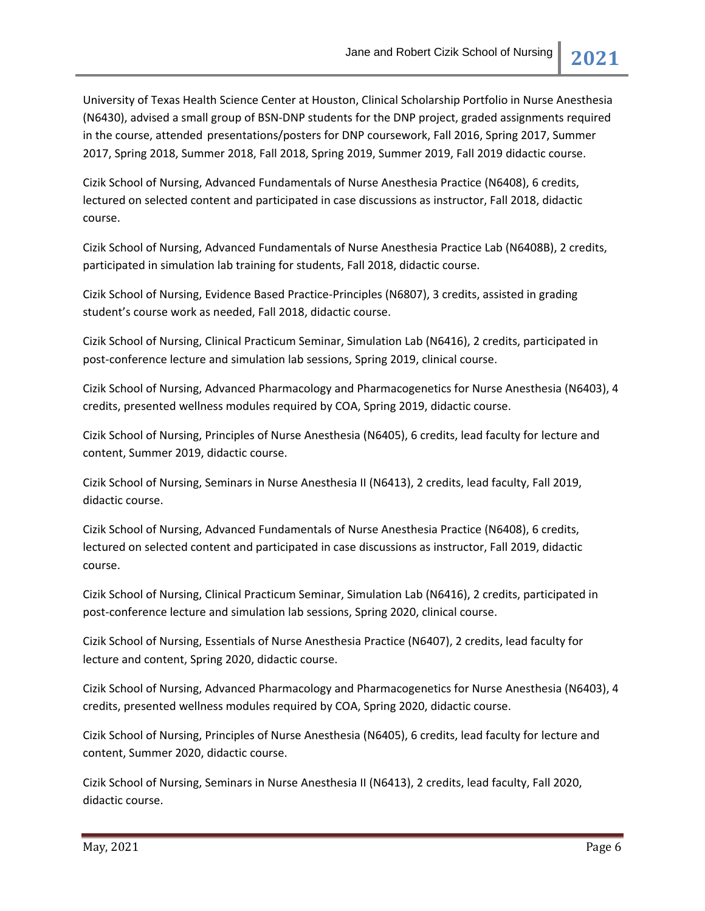University of Texas Health Science Center at Houston, Clinical Scholarship Portfolio in Nurse Anesthesia (N6430), advised a small group of BSN-DNP students for the DNP project, graded assignments required in the course, attended presentations/posters for DNP coursework, Fall 2016, Spring 2017, Summer 2017, Spring 2018, Summer 2018, Fall 2018, Spring 2019, Summer 2019, Fall 2019 didactic course.

Cizik School of Nursing, Advanced Fundamentals of Nurse Anesthesia Practice (N6408), 6 credits, lectured on selected content and participated in case discussions as instructor, Fall 2018, didactic course.

Cizik School of Nursing, Advanced Fundamentals of Nurse Anesthesia Practice Lab (N6408B), 2 credits, participated in simulation lab training for students, Fall 2018, didactic course.

Cizik School of Nursing, Evidence Based Practice-Principles (N6807), 3 credits, assisted in grading student's course work as needed, Fall 2018, didactic course.

Cizik School of Nursing, Clinical Practicum Seminar, Simulation Lab (N6416), 2 credits, participated in post-conference lecture and simulation lab sessions, Spring 2019, clinical course.

Cizik School of Nursing, Advanced Pharmacology and Pharmacogenetics for Nurse Anesthesia (N6403), 4 credits, presented wellness modules required by COA, Spring 2019, didactic course.

Cizik School of Nursing, Principles of Nurse Anesthesia (N6405), 6 credits, lead faculty for lecture and content, Summer 2019, didactic course.

Cizik School of Nursing, Seminars in Nurse Anesthesia II (N6413), 2 credits, lead faculty, Fall 2019, didactic course.

Cizik School of Nursing, Advanced Fundamentals of Nurse Anesthesia Practice (N6408), 6 credits, lectured on selected content and participated in case discussions as instructor, Fall 2019, didactic course.

Cizik School of Nursing, Clinical Practicum Seminar, Simulation Lab (N6416), 2 credits, participated in post-conference lecture and simulation lab sessions, Spring 2020, clinical course.

Cizik School of Nursing, Essentials of Nurse Anesthesia Practice (N6407), 2 credits, lead faculty for lecture and content, Spring 2020, didactic course.

Cizik School of Nursing, Advanced Pharmacology and Pharmacogenetics for Nurse Anesthesia (N6403), 4 credits, presented wellness modules required by COA, Spring 2020, didactic course.

Cizik School of Nursing, Principles of Nurse Anesthesia (N6405), 6 credits, lead faculty for lecture and content, Summer 2020, didactic course.

Cizik School of Nursing, Seminars in Nurse Anesthesia II (N6413), 2 credits, lead faculty, Fall 2020, didactic course.